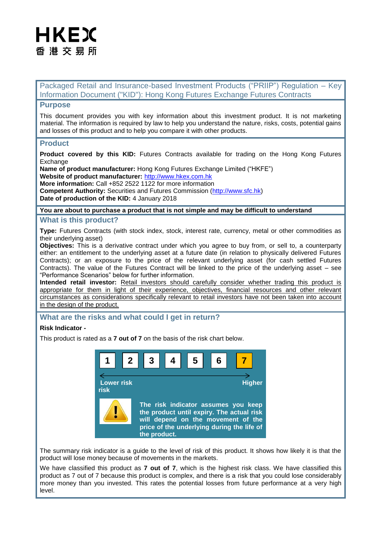# HKEX 香 港 交 易 所

Packaged Retail and Insurance-based Investment Products ("PRIIP") Regulation – Key Information Document ("KID"): Hong Kong Futures Exchange Futures Contracts

## **Purpose**

This document provides you with key information about this investment product. It is not marketing material. The information is required by law to help you understand the nature, risks, costs, potential gains and losses of this product and to help you compare it with other products.

## **Product**

**Product covered by this KID:** Futures Contracts available for trading on the Hong Kong Futures **Exchange** 

**Name of product manufacturer:** Hong Kong Futures Exchange Limited ("HKFE")

**Website of product manufacturer:** [http://www.hkex.com.hk](http://www.hkex.com.hk/)

**More information:** Call +852 2522 1122 for more information

**Competent Authority:** Securities and Futures Commission [\(http://www.sfc.hk\)](http://www.sfc.hk/) **Date of production of the KID:** 4 January 2018

### **You are about to purchase a product that is not simple and may be difficult to understand**

## **What is this product?**

**Type:** Futures Contracts (with stock index, stock, interest rate, currency, metal or other commodities as their underlying asset)

**Objectives:** This is a derivative contract under which you agree to buy from, or sell to, a counterparty either: an entitlement to the underlying asset at a future date (in relation to physically delivered Futures Contracts); or an exposure to the price of the relevant underlying asset (for cash settled Futures Contracts). The value of the Futures Contract will be linked to the price of the underlying asset – see "Performance Scenarios" below for further information.

**Intended retail investor:** Retail investors should carefully consider whether trading this product is appropriate for them in light of their experience, objectives, financial resources and other relevant circumstances as considerations specifically relevant to retail investors have not been taken into account in the design of the product.

## **What are the risks and what could I get in return?**

### **Risk Indicator -**

This product is rated as a **7 out of 7** on the basis of the risk chart below.



The summary risk indicator is a guide to the level of risk of this product. It shows how likely it is that the product will lose money because of movements in the markets.

We have classified this product as **7 out of 7**, which is the highest risk class. We have classified this product as 7 out of 7 because this product is complex, and there is a risk that you could lose considerably more money than you invested. This rates the potential losses from future performance at a very high level.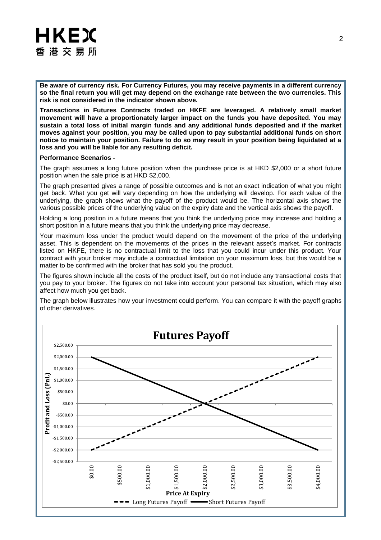# **HKEX** 香港交易所

**Be aware of currency risk. For Currency Futures, you may receive payments in a different currency so the final return you will get may depend on the exchange rate between the two currencies. This risk is not considered in the indicator shown above.** 

**Transactions in Futures Contracts traded on HKFE are leveraged. A relatively small market movement will have a proportionately larger impact on the funds you have deposited. You may sustain a total loss of initial margin funds and any additional funds deposited and if the market moves against your position, you may be called upon to pay substantial additional funds on short notice to maintain your position. Failure to do so may result in your position being liquidated at a**  loss and you will be liable for any resulting deficit.

#### **Performance Scenarios -**

The graph assumes a long future position when the purchase price is at HKD \$2,000 or a short future position when the sale price is at HKD \$2,000.

The graph presented gives a range of possible outcomes and is not an exact indication of what you might get back. What you get will vary depending on how the underlying will develop. For each value of the underlying, the graph shows what the payoff of the product would be. The horizontal axis shows the various possible prices of the underlying value on the expiry date and the vertical axis shows the payoff.

Holding a long position in a future means that you think the underlying price may increase and holding a short position in a future means that you think the underlying price may decrease.

Your maximum loss under the product would depend on the movement of the price of the underlying asset. This is dependent on the movements of the prices in the relevant asset's market. For contracts listed on HKFE, there is no contractual limit to the loss that you could incur under this product. Your contract with your broker may include a contractual limitation on your maximum loss, but this would be a matter to be confirmed with the broker that has sold you the product.

The figures shown include all the costs of the product itself, but do not include any transactional costs that you pay to your broker. The figures do not take into account your personal tax situation, which may also affect how much you get back.

The graph below illustrates how your investment could perform. You can compare it with the payoff graphs of other derivatives.